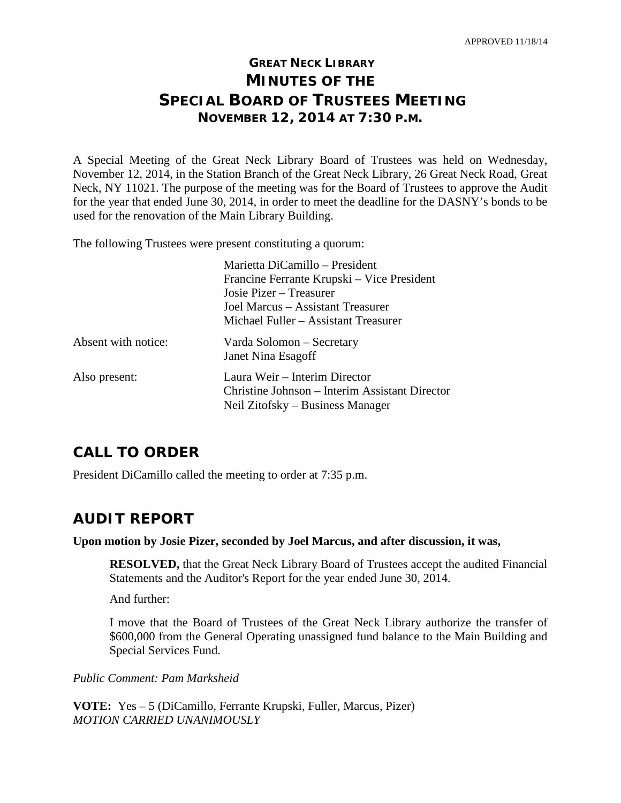## **GREAT NECK LIBRARY MINUTES OF THE SPECIAL BOARD OF TRUSTEES MEETING NOVEMBER 12, 2014 AT 7:30 P.M.**

A Special Meeting of the Great Neck Library Board of Trustees was held on Wednesday, November 12, 2014, in the Station Branch of the Great Neck Library, 26 Great Neck Road, Great Neck, NY 11021. The purpose of the meeting was for the Board of Trustees to approve the Audit for the year that ended June 30, 2014, in order to meet the deadline for the DASNY's bonds to be used for the renovation of the Main Library Building.

The following Trustees were present constituting a quorum:

|                     | Marietta DiCamillo – President                 |
|---------------------|------------------------------------------------|
|                     | Francine Ferrante Krupski – Vice President     |
|                     | Josie Pizer – Treasurer                        |
|                     | Joel Marcus – Assistant Treasurer              |
|                     | Michael Fuller – Assistant Treasurer           |
| Absent with notice: | Varda Solomon – Secretary                      |
|                     | Janet Nina Esagoff                             |
| Also present:       | Laura Weir – Interim Director                  |
|                     | Christine Johnson – Interim Assistant Director |
|                     | Neil Zitofsky – Business Manager               |

### **CALL TO ORDER**

President DiCamillo called the meeting to order at 7:35 p.m.

#### **AUDIT REPORT**

#### **Upon motion by Josie Pizer, seconded by Joel Marcus, and after discussion, it was,**

**RESOLVED,** that the Great Neck Library Board of Trustees accept the audited Financial Statements and the Auditor's Report for the year ended June 30, 2014.

And further:

I move that the Board of Trustees of the Great Neck Library authorize the transfer of \$600,000 from the General Operating unassigned fund balance to the Main Building and Special Services Fund.

*Public Comment: Pam Marksheid*

**VOTE:** Yes – 5 (DiCamillo, Ferrante Krupski, Fuller, Marcus, Pizer) *MOTION CARRIED UNANIMOUSLY*